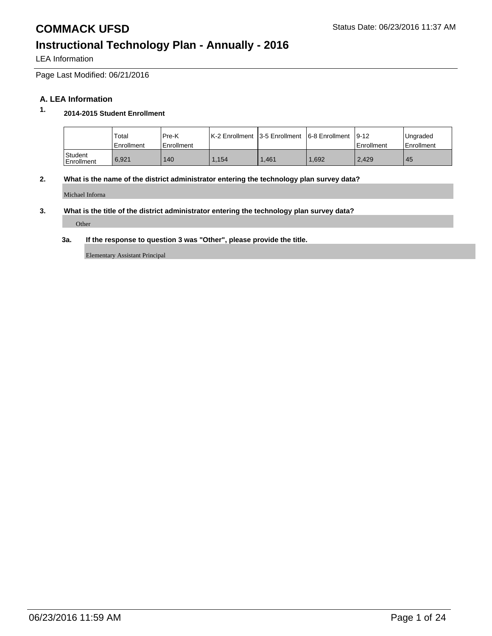LEA Information

Page Last Modified: 06/21/2016

### **A. LEA Information**

## **1. 2014-2015 Student Enrollment**

|                         | Total<br>Enrollment | Pre-K<br><b>Enrollment</b> | IK-2 Enrollment 13-5 Enrollment 16-8 Enrollment |       |      | $19-12$<br>Enrollment | Ungraded<br><b>Enrollment</b> |
|-------------------------|---------------------|----------------------------|-------------------------------------------------|-------|------|-----------------------|-------------------------------|
| l Student<br>Enrollment | 6.921               | 140                        | .154                                            | 1.461 | .692 | 2.429                 | 45                            |

### **2. What is the name of the district administrator entering the technology plan survey data?**

Michael Inforna

### **3. What is the title of the district administrator entering the technology plan survey data?**

Other

#### **3a. If the response to question 3 was "Other", please provide the title.**

Elementary Assistant Principal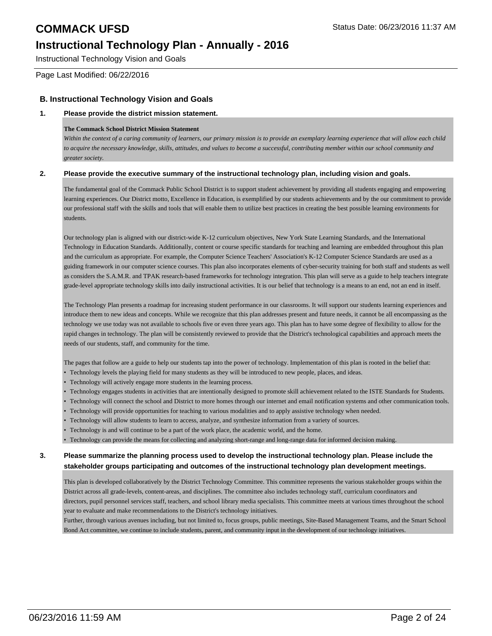Instructional Technology Vision and Goals

Page Last Modified: 06/22/2016

### **B. Instructional Technology Vision and Goals**

### **1. Please provide the district mission statement.**

#### **The Commack School District Mission Statement**

*Within the context of a caring community of learners, our primary mission is to provide an exemplary learning experience that will allow each child to acquire the necessary knowledge, skills, attitudes, and values to become a successful, contributing member within our school community and greater society.*

#### **2. Please provide the executive summary of the instructional technology plan, including vision and goals.**

The fundamental goal of the Commack Public School District is to support student achievement by providing all students engaging and empowering learning experiences. Our District motto, Excellence in Education, is exemplified by our students achievements and by the our commitment to provide our professional staff with the skills and tools that will enable them to utilize best practices in creating the best possible learning environments for students.

Our technology plan is aligned with our district-wide K-12 curriculum objectives, New York State Learning Standards, and the International Technology in Education Standards. Additionally, content or course specific standards for teaching and learning are embedded throughout this plan and the curriculum as appropriate. For example, the Computer Science Teachers' Association's K-12 Computer Science Standards are used as a guiding framework in our computer science courses. This plan also incorporates elements of cyber-security training for both staff and students as well as considers the S.A.M.R. and TPAK research-based frameworks for technology integration. This plan will serve as a guide to help teachers integrate grade-level appropriate technology skills into daily instructional activities. It is our belief that technology is a means to an end, not an end in itself.

The Technology Plan presents a roadmap for increasing student performance in our classrooms. It will support our students learning experiences and introduce them to new ideas and concepts. While we recognize that this plan addresses present and future needs, it cannot be all encompassing as the technology we use today was not available to schools five or even three years ago. This plan has to have some degree of flexibility to allow for the rapid changes in technology. The plan will be consistently reviewed to provide that the District's technological capabilities and approach meets the needs of our students, staff, and community for the time.

The pages that follow are a guide to help our students tap into the power of technology. Implementation of this plan is rooted in the belief that:

- Technology levels the playing field for many students as they will be introduced to new people, places, and ideas.
- Technology will actively engage more students in the learning process.
- Technology engages students in activities that are intentionally designed to promote skill achievement related to the ISTE Standards for Students.
- Technology will connect the school and District to more homes through our internet and email notification systems and other communication tools.
- Technology will provide opportunities for teaching to various modalities and to apply assistive technology when needed.
- Technology will allow students to learn to access, analyze, and synthesize information from a variety of sources.
- Technology is and will continue to be a part of the work place, the academic world, and the home.
- Technology can provide the means for collecting and analyzing short-range and long-range data for informed decision making.

### **3. Please summarize the planning process used to develop the instructional technology plan. Please include the stakeholder groups participating and outcomes of the instructional technology plan development meetings.**

This plan is developed collaboratively by the District Technology Committee. This committee represents the various stakeholder groups within the District across all grade-levels, content-areas, and disciplines. The committee also includes technology staff, curriculum coordinators and directors, pupil personnel services staff, teachers, and school library media specialists. This committee meets at various times throughout the school year to evaluate and make recommendations to the District's technology initiatives.

Further, through various avenues including, but not limited to, focus groups, public meetings, Site-Based Management Teams, and the Smart School Bond Act committee, we continue to include students, parent, and community input in the development of our technology initiatives.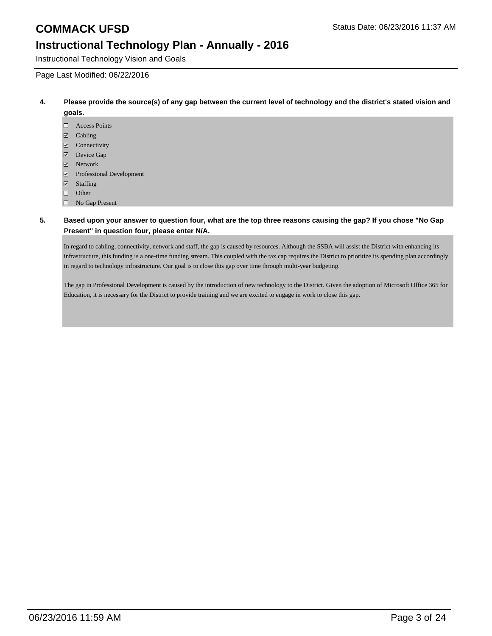Instructional Technology Vision and Goals

Page Last Modified: 06/22/2016

- **4. Please provide the source(s) of any gap between the current level of technology and the district's stated vision and goals.**
	- Access Points
	- Cabling
	- Connectivity
	- Device Gap
	- **Z** Network
	- Professional Development
	- Staffing
	- $\Box$  Other
	- No Gap Present

### **5. Based upon your answer to question four, what are the top three reasons causing the gap? If you chose "No Gap Present" in question four, please enter N/A.**

In regard to cabling, connectivity, network and staff, the gap is caused by resources. Although the SSBA will assist the District with enhancing its infrastructure, this funding is a one-time funding stream. This coupled with the tax cap requires the District to prioritize its spending plan accordingly in regard to technology infrastructure. Our goal is to close this gap over time through multi-year budgeting.

The gap in Professional Development is caused by the introduction of new technology to the District. Given the adoption of Microsoft Office 365 for Education, it is necessary for the District to provide training and we are excited to engage in work to close this gap.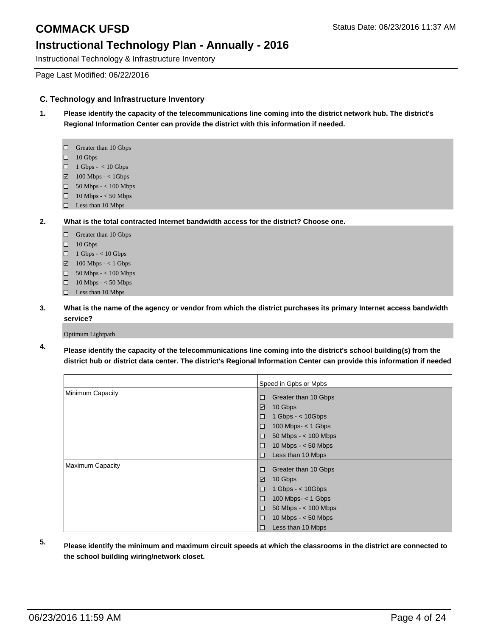Instructional Technology & Infrastructure Inventory

Page Last Modified: 06/22/2016

### **C. Technology and Infrastructure Inventory**

- **1. Please identify the capacity of the telecommunications line coming into the district network hub. The district's Regional Information Center can provide the district with this information if needed.**
	- □ Greater than 10 Gbps
	- $\Box$  10 Gbps
	- $\Box$  1 Gbps < 10 Gbps
	- $\boxtimes$  100 Mbps < 1Gbps
	- $\Box$  50 Mbps < 100 Mbps
	- $\Box$  10 Mbps < 50 Mbps
	- $\Box$  Less than 10 Mbps
- **2. What is the total contracted Internet bandwidth access for the district? Choose one.**
	- Greater than 10 Gbps
	- $\Box$  10 Gbps
	- $\Box$  1 Gbps < 10 Gbps
	- $\Box$  100 Mbps < 1 Gbps
	- $\Box$  50 Mbps < 100 Mbps
	- 10 Mbps < 50 Mbps
	- □ Less than 10 Mbps
- **3. What is the name of the agency or vendor from which the district purchases its primary Internet access bandwidth service?**

Optimum Lightpath

**4. Please identify the capacity of the telecommunications line coming into the district's school building(s) from the district hub or district data center. The district's Regional Information Center can provide this information if needed**

|                  | Speed in Gpbs or Mpbs              |  |
|------------------|------------------------------------|--|
| Minimum Capacity | Greater than 10 Gbps<br>□          |  |
|                  | $\checkmark$<br>10 Gbps            |  |
|                  | $1$ Gbps - $<$ 10Gbps<br>□         |  |
|                  | 100 Mbps- $<$ 1 Gbps<br>$\Box$     |  |
|                  | $50$ Mbps $-$ < 100 Mbps<br>$\Box$ |  |
|                  | □<br>10 Mbps $- < 50$ Mbps         |  |
|                  | $\Box$<br>Less than 10 Mbps        |  |
| Maximum Capacity | Greater than 10 Gbps<br>□          |  |
|                  | $\checkmark$<br>10 Gbps            |  |
|                  | $\Box$<br>$1$ Gbps - $<$ 10Gbps    |  |
|                  | 100 Mbps- $<$ 1 Gbps<br>$\Box$     |  |
|                  | 50 Mbps - $<$ 100 Mbps<br>$\Box$   |  |
|                  | $\Box$<br>10 Mbps $- < 50$ Mbps    |  |
|                  | $\Box$<br>Less than 10 Mbps        |  |

- 
- **5. Please identify the minimum and maximum circuit speeds at which the classrooms in the district are connected to the school building wiring/network closet.**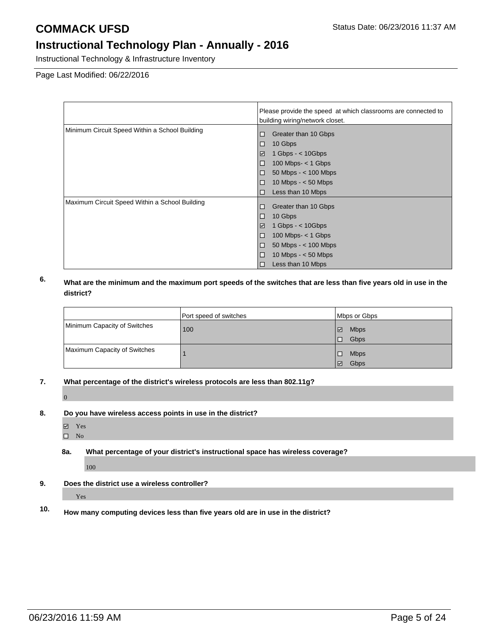Instructional Technology & Infrastructure Inventory

Page Last Modified: 06/22/2016

|                                                | Please provide the speed at which classrooms are connected to |  |  |
|------------------------------------------------|---------------------------------------------------------------|--|--|
|                                                | building wiring/network closet.                               |  |  |
| Minimum Circuit Speed Within a School Building | Greater than 10 Gbps<br>10                                    |  |  |
|                                                | 10 Gbps<br>顶                                                  |  |  |
|                                                | $\blacktriangledown$<br>1 Gbps - $<$ 10 Gbps                  |  |  |
|                                                | 100 Mbps- $<$ 1 Gbps<br>IΠ                                    |  |  |
|                                                | $50$ Mbps $-$ < 100 Mbps<br>顶                                 |  |  |
|                                                | 10 Mbps $- < 50$ Mbps<br>$\Box$                               |  |  |
|                                                | Less than 10 Mbps<br>顶                                        |  |  |
| Maximum Circuit Speed Within a School Building | Greater than 10 Gbps<br>□                                     |  |  |
|                                                | 10 Gbps<br>顶                                                  |  |  |
|                                                | 1 Gbps - $<$ 10 Gbps<br>$\checkmark$                          |  |  |
|                                                | $100$ Mbps- $<$ 1 Gbps<br>10                                  |  |  |
|                                                | $50$ Mbps $-$ < 100 Mbps<br>П                                 |  |  |
|                                                | 10 Mbps $- < 50$ Mbps<br>10                                   |  |  |
|                                                | Less than 10 Mbps<br>10                                       |  |  |

### **6. What are the minimum and the maximum port speeds of the switches that are less than five years old in use in the district?**

|                              | Port speed of switches | Mbps or Gbps     |
|------------------------------|------------------------|------------------|
| Minimum Capacity of Switches | 100                    | <b>Mbps</b><br>⊮ |
|                              |                        | Gbps<br>IO       |
| Maximum Capacity of Switches |                        | <b>Mbps</b><br>□ |
|                              |                        | Gbps<br>V        |

**7. What percentage of the district's wireless protocols are less than 802.11g?**

 $\overline{0}$ 

- **8. Do you have wireless access points in use in the district?**
	- Yes
	- $\square$  No
	- **8a. What percentage of your district's instructional space has wireless coverage?**

100

**9. Does the district use a wireless controller?**

Yes

**10. How many computing devices less than five years old are in use in the district?**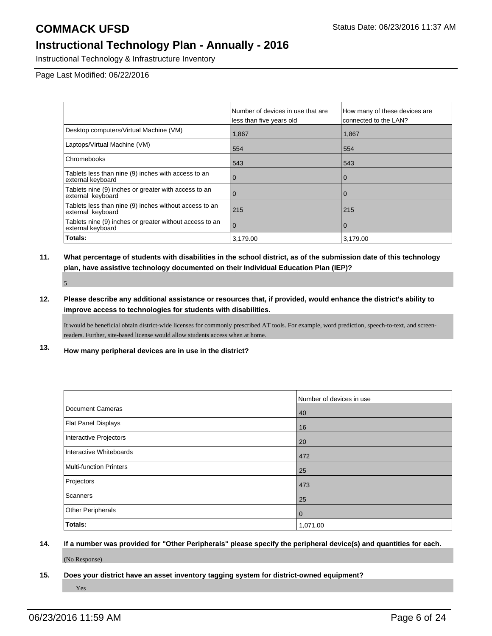Instructional Technology & Infrastructure Inventory

Page Last Modified: 06/22/2016

|                                                                              | Number of devices in use that are<br>less than five years old | How many of these devices are<br>connected to the LAN? |
|------------------------------------------------------------------------------|---------------------------------------------------------------|--------------------------------------------------------|
| Desktop computers/Virtual Machine (VM)                                       | 1,867                                                         | 1,867                                                  |
| Laptops/Virtual Machine (VM)                                                 | 554                                                           | 554                                                    |
| Chromebooks                                                                  | 543                                                           | 543                                                    |
| Tablets less than nine (9) inches with access to an<br>external keyboard     | U                                                             | 0                                                      |
| Tablets nine (9) inches or greater with access to an<br>external keyboard    |                                                               | $\mathbf 0$                                            |
| Tablets less than nine (9) inches without access to an<br>external keyboard  | 215                                                           | 215                                                    |
| Tablets nine (9) inches or greater without access to an<br>external keyboard | $\Omega$                                                      | 0                                                      |
| Totals:                                                                      | 3.179.00                                                      | 3.179.00                                               |

## **11. What percentage of students with disabilities in the school district, as of the submission date of this technology plan, have assistive technology documented on their Individual Education Plan (IEP)?** 5

**12. Please describe any additional assistance or resources that, if provided, would enhance the district's ability to improve access to technologies for students with disabilities.**

It would be beneficial obtain district-wide licenses for commonly prescribed AT tools. For example, word prediction, speech-to-text, and screenreaders. Further, site-based license would allow students access when at home.

**13. How many peripheral devices are in use in the district?**

|                         | Number of devices in use |
|-------------------------|--------------------------|
| Document Cameras        | 40                       |
| Flat Panel Displays     | 16                       |
| Interactive Projectors  | 20                       |
| Interactive Whiteboards | 472                      |
| Multi-function Printers | 25                       |
| Projectors              | 473                      |
| Scanners                | 25                       |
| Other Peripherals       | $\mathbf 0$              |
| Totals:                 | 1,071.00                 |

# **14. If a number was provided for "Other Peripherals" please specify the peripheral device(s) and quantities for each.**

(No Response)

**15. Does your district have an asset inventory tagging system for district-owned equipment?**

Yes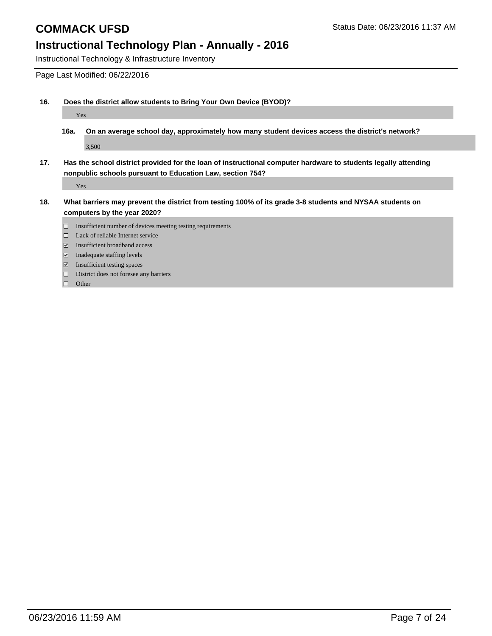Instructional Technology & Infrastructure Inventory

Page Last Modified: 06/22/2016

**16. Does the district allow students to Bring Your Own Device (BYOD)?**

Yes

- **16a. On an average school day, approximately how many student devices access the district's network?** 3,500
- **17. Has the school district provided for the loan of instructional computer hardware to students legally attending nonpublic schools pursuant to Education Law, section 754?**

Yes

- **18. What barriers may prevent the district from testing 100% of its grade 3-8 students and NYSAA students on computers by the year 2020?**
	- $\square$  Insufficient number of devices meeting testing requirements
	- □ Lack of reliable Internet service
	- Insufficient broadband access
	- $\blacksquare$  Inadequate staffing levels
	- Insufficient testing spaces
	- $\hfill\Box$  <br> District does not foresee any barriers

 $\Box$  Other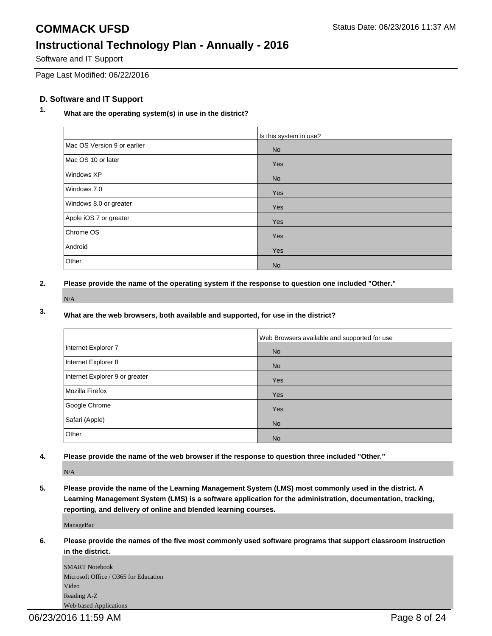## **COMMACK UFSD** Status Date: 06/23/2016 11:37 AM **Instructional Technology Plan - Annually - 2016**

Software and IT Support

Page Last Modified: 06/22/2016

### **D. Software and IT Support**

## **1. What are the operating system(s) in use in the district?**

|                             | Is this system in use? |
|-----------------------------|------------------------|
| Mac OS Version 9 or earlier | <b>No</b>              |
| Mac OS 10 or later          | Yes                    |
| Windows XP                  | <b>No</b>              |
| Windows 7.0                 | Yes                    |
| Windows 8.0 or greater      | Yes                    |
| Apple iOS 7 or greater      | Yes                    |
| Chrome OS                   | Yes                    |
| Android                     | Yes                    |
| Other                       | <b>No</b>              |

**2. Please provide the name of the operating system if the response to question one included "Other."**

N/A

### **3. What are the web browsers, both available and supported, for use in the district?**

|                                | Web Browsers available and supported for use |
|--------------------------------|----------------------------------------------|
| Internet Explorer 7            | <b>No</b>                                    |
| Internet Explorer 8            | <b>No</b>                                    |
| Internet Explorer 9 or greater | Yes                                          |
| Mozilla Firefox                | Yes                                          |
| Google Chrome                  | Yes                                          |
| Safari (Apple)                 | <b>No</b>                                    |
| Other                          | <b>No</b>                                    |

**4. Please provide the name of the web browser if the response to question three included "Other."**

N/A

**5. Please provide the name of the Learning Management System (LMS) most commonly used in the district. A Learning Management System (LMS) is a software application for the administration, documentation, tracking, reporting, and delivery of online and blended learning courses.**

ManageBac

**6. Please provide the names of the five most commonly used software programs that support classroom instruction in the district.**

SMART Notebook Microsoft Office / O365 for Education Video Reading A-Z Web-based Applications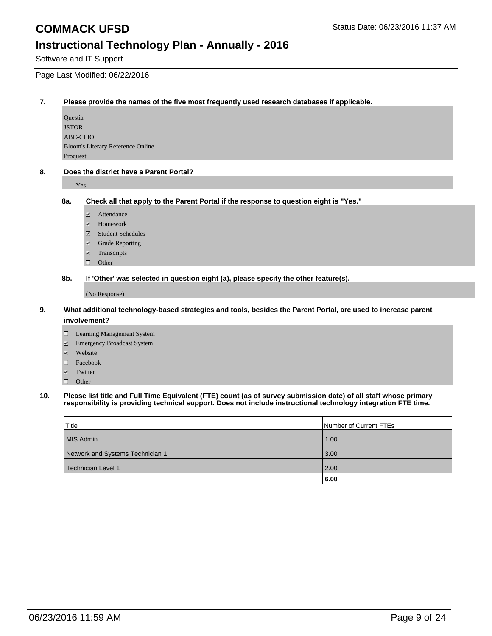Software and IT Support

Page Last Modified: 06/22/2016

### **7. Please provide the names of the five most frequently used research databases if applicable.**

Questia JSTOR ABC-CLIO Bloom's Literary Reference Online Proquest

#### **8. Does the district have a Parent Portal?**

Yes

**8a. Check all that apply to the Parent Portal if the response to question eight is "Yes."**

- Attendance
- Homework
- Student Schedules
- Grade Reporting
- **□** Transcripts
- $\Box$  Other

**8b. If 'Other' was selected in question eight (a), please specify the other feature(s).**

(No Response)

### **9. What additional technology-based strategies and tools, besides the Parent Portal, are used to increase parent involvement?**

- Learning Management System
- Emergency Broadcast System
- Website
- Facebook
- Twitter
- $\Box$  Other

#### **10. Please list title and Full Time Equivalent (FTE) count (as of survey submission date) of all staff whose primary responsibility is providing technical support. Does not include instructional technology integration FTE time.**

| Title                            | Number of Current FTEs |
|----------------------------------|------------------------|
| MIS Admin                        | 1.00                   |
| Network and Systems Technician 1 | 3.00                   |
| Technician Level 1               | 2.00                   |
|                                  | 6.00                   |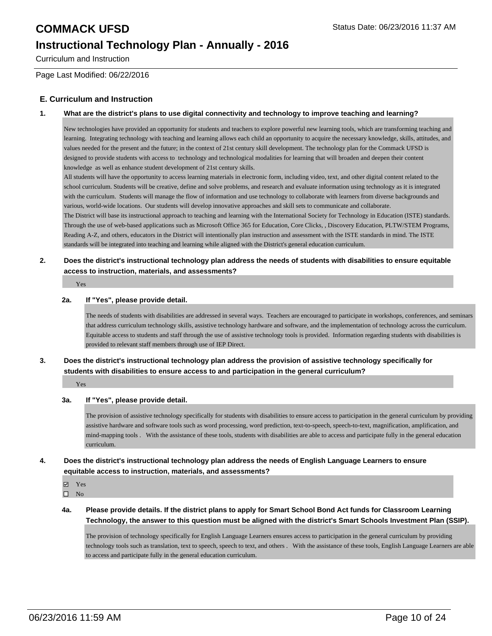Curriculum and Instruction

Page Last Modified: 06/22/2016

### **E. Curriculum and Instruction**

### **1. What are the district's plans to use digital connectivity and technology to improve teaching and learning?**

New technologies have provided an opportunity for students and teachers to explore powerful new learning tools, which are transforming teaching and learning. Integrating technology with teaching and learning allows each child an opportunity to acquire the necessary knowledge, skills, attitudes, and values needed for the present and the future; in the context of 21st century skill development. The technology plan for the Commack UFSD is designed to provide students with access to technology and technological modalities for learning that will broaden and deepen their content knowledge as well as enhance student development of 21st century skills.

All students will have the opportunity to access learning materials in electronic form, including video, text, and other digital content related to the school curriculum. Students will be creative, define and solve problems, and research and evaluate information using technology as it is integrated with the curriculum. Students will manage the flow of information and use technology to collaborate with learners from diverse backgrounds and various, world-wide locations. Our students will develop innovative approaches and skill sets to communicate and collaborate.

The District will base its instructional approach to teaching and learning with the International Society for Technology in Education (ISTE) standards. Through the use of web-based applications such as Microsoft Office 365 for Education, Core Clicks, , Discovery Education, PLTW/STEM Programs, Reading A-Z, and others, educators in the District will intentionally plan instruction and assessment with the ISTE standards in mind. The ISTE standards will be integrated into teaching and learning while aligned with the District's general education curriculum.

### **2. Does the district's instructional technology plan address the needs of students with disabilities to ensure equitable access to instruction, materials, and assessments?**

Yes

#### **2a. If "Yes", please provide detail.**

The needs of students with disabilities are addressed in several ways. Teachers are encouraged to participate in workshops, conferences, and seminars that address curriculum technology skills, assistive technology hardware and software, and the implementation of technology across the curriculum. Equitable access to students and staff through the use of assistive technology tools is provided. Information regarding students with disabilities is provided to relevant staff members through use of IEP Direct.

### **3. Does the district's instructional technology plan address the provision of assistive technology specifically for students with disabilities to ensure access to and participation in the general curriculum?**

Yes

### **3a. If "Yes", please provide detail.**

The provision of assistive technology specifically for students with disabilities to ensure access to participation in the general curriculum by providing assistive hardware and software tools such as word processing, word prediction, text-to-speech, speech-to-text, magnification, amplification, and mind-mapping tools . With the assistance of these tools, students with disabilities are able to access and participate fully in the general education curriculum.

### **4. Does the district's instructional technology plan address the needs of English Language Learners to ensure equitable access to instruction, materials, and assessments?**

**Z** Yes

 $\square$  No

**4a. Please provide details. If the district plans to apply for Smart School Bond Act funds for Classroom Learning Technology, the answer to this question must be aligned with the district's Smart Schools Investment Plan (SSIP).**

The provision of technology specifically for English Language Learners ensures access to participation in the general curriculum by providing technology tools such as translation, text to speech, speech to text, and others . With the assistance of these tools, English Language Learners are able to access and participate fully in the general education curriculum.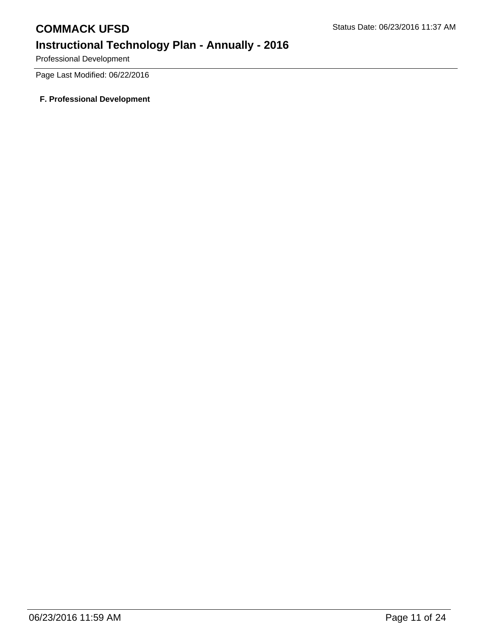Professional Development

Page Last Modified: 06/22/2016

### **F. Professional Development**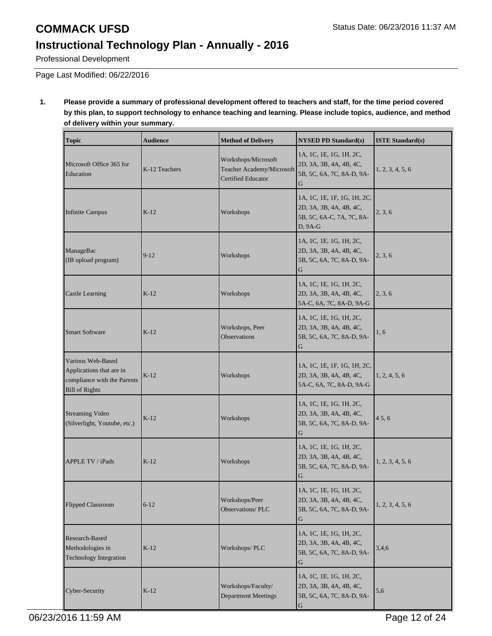# **COMMACK UFSD** Status Date: 06/23/2016 11:37 AM **Instructional Technology Plan - Annually - 2016**

Professional Development

Page Last Modified: 06/22/2016

### **1. Please provide a summary of professional development offered to teachers and staff, for the time period covered by this plan, to support technology to enhance teaching and learning. Please include topics, audience, and method of delivery within your summary.**

| <b>Topic</b>                                                                                          | <b>Audience</b> | <b>Method of Delivery</b>                                                     | <b>NYSED PD Standard(s)</b>                                                                      | <b>ISTE Standard(s)</b> |
|-------------------------------------------------------------------------------------------------------|-----------------|-------------------------------------------------------------------------------|--------------------------------------------------------------------------------------------------|-------------------------|
| Microsoft Office 365 for<br>Education                                                                 | K-12 Teachers   | Workshops/Microsoft<br>Teacher Academy/Microsoft<br><b>Certified Educator</b> | 1A, 1C, 1E, 1G, 1H, 2C,<br>2D, 3A, 3B, 4A, 4B, 4C,<br>5B, 5C, 6A, 7C, 8A-D, 9A-<br>G             | 1, 2, 3, 4, 5, 6        |
| <b>Infinite Campus</b>                                                                                | $K-12$          | Workshops                                                                     | 1A, 1C, 1E, 1F, 1G, 1H, 2C,<br>2D, 3A, 3B, 4A, 4B, 4C,<br>5B, 5C, 6A-C, 7A, 7C, 8A-<br>$D, 9A-G$ | 2, 3, 6                 |
| ManageBac<br>(IB upload program)                                                                      | $9 - 12$        | Workshops                                                                     | 1A, 1C, 1E, 1G, 1H, 2C,<br>2D, 3A, 3B, 4A, 4B, 4C,<br>5B, 5C, 6A, 7C, 8A-D, 9A-<br>G             | 2, 3, 6                 |
| <b>Castle Learning</b>                                                                                | $K-12$          | Workshops                                                                     | 1A, 1C, 1E, 1G, 1H, 2C,<br>2D, 3A, 3B, 4A, 4B, 4C,<br>5A-C, 6A, 7C, 8A-D, 9A-G                   | 2, 3, 6                 |
| <b>Smart Software</b>                                                                                 | $K-12$          | Workshops, Peer<br><b>Observations</b>                                        | 1A, 1C, 1E, 1G, 1H, 2C,<br>2D, 3A, 3B, 4A, 4B, 4C,<br>5B, 5C, 6A, 7C, 8A-D, 9A-<br>G             | 1, 6                    |
| Various Web-Based<br>Applications that are in<br>compliance with the Parents<br><b>Bill of Rights</b> | $K-12$          | Workshops                                                                     | 1A, 1C, 1E, 1F, 1G, 1H, 2C,<br>2D, 3A, 3B, 4A, 4B, 4C,<br>5A-C, 6A, 7C, 8A-D, 9A-G               | 1, 2, 4, 5, 6           |
| Streaming Video<br>(Silverlight, Youtube, etc.)                                                       | $K-12$          | Workshops                                                                     | 1A, 1C, 1E, 1G, 1H, 2C,<br>2D, 3A, 3B, 4A, 4B, 4C,<br>5B, 5C, 6A, 7C, 8A-D, 9A-                  | 45, 6                   |
| APPLE TV / iPads                                                                                      | $K-12$          | Workshops                                                                     | 1A, 1C, 1E, 1G, 1H, 2C,<br>2D, 3A, 3B, 4A, 4B, 4C,<br>5B, 5C, 6A, 7C, 8A-D, 9A-<br>G             | 1, 2, 3, 4, 5, 6        |
| Flipped Classroom                                                                                     | $6 - 12$        | Workshops/Peer<br><b>Observations/PLC</b>                                     | 1A, 1C, 1E, 1G, 1H, 2C,<br>2D, 3A, 3B, 4A, 4B, 4C,<br>5B, 5C, 6A, 7C, 8A-D, 9A-<br>G             | 1, 2, 3, 4, 5, 6        |
| Research-Based<br>Methodologies in<br><b>Technology Integration</b>                                   | $K-12$          | Workshops/PLC                                                                 | 1A, 1C, 1E, 1G, 1H, 2C,<br>2D, 3A, 3B, 4A, 4B, 4C,<br>5B, 5C, 6A, 7C, 8A-D, 9A-<br>G             | 3,4,6                   |
| Cyber-Security                                                                                        | $K-12$          | Workshops/Faculty/<br><b>Department Meetings</b>                              | 1A, 1C, 1E, 1G, 1H, 2C,<br>2D, 3A, 3B, 4A, 4B, 4C,<br>5B, 5C, 6A, 7C, 8A-D, 9A-<br>$\mathbf G$   | 5,6                     |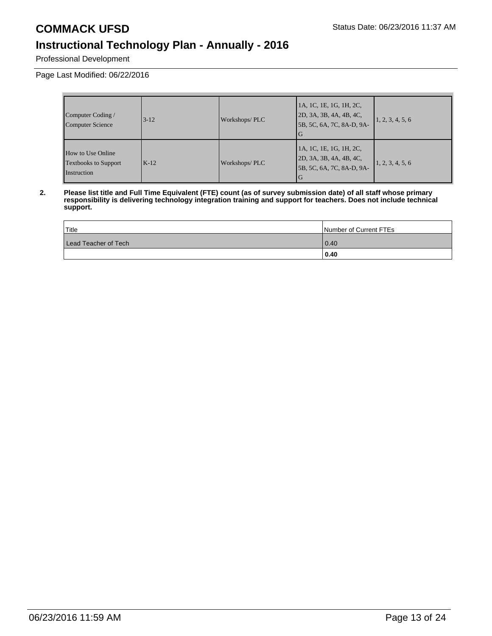Professional Development

Page Last Modified: 06/22/2016

| Computer Coding /<br>Computer Science                                  | $3 - 12$ | Workshops/PLC | 1A, 1C, 1E, 1G, 1H, 2C,<br>2D, 3A, 3B, 4A, 4B, 4C,<br>5B, 5C, 6A, 7C, 8A-D, 9A-       | 1, 2, 3, 4, 5, 6 |
|------------------------------------------------------------------------|----------|---------------|---------------------------------------------------------------------------------------|------------------|
| <b>How to Use Online</b><br><b>Textbooks to Support</b><br>Instruction | $K-12$   | Workshops/PLC | 1A, 1C, 1E, 1G, 1H, 2C,<br>2D, 3A, 3B, 4A, 4B, 4C,<br>5B, 5C, 6A, 7C, 8A-D, 9A-<br>IG | 1, 2, 3, 4, 5, 6 |

**2. Please list title and Full Time Equivalent (FTE) count (as of survey submission date) of all staff whose primary responsibility is delivering technology integration training and support for teachers. Does not include technical support.**

| Title                | Number of Current FTEs |
|----------------------|------------------------|
| Lead Teacher of Tech | 0.40                   |
|                      | 0.40                   |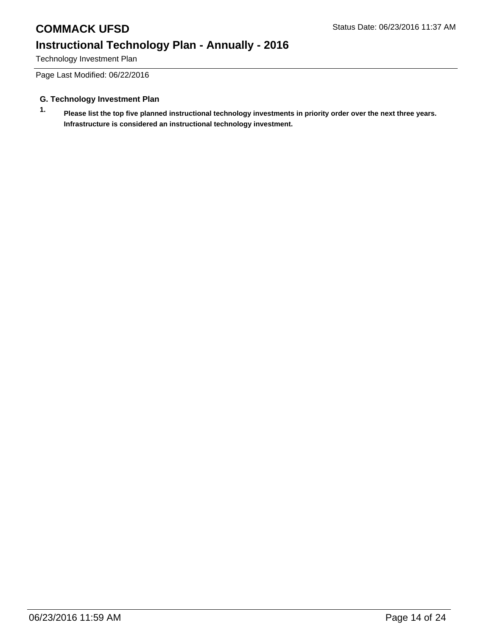# **COMMACK UFSD** Status Date: 06/23/2016 11:37 AM **Instructional Technology Plan - Annually - 2016**

Technology Investment Plan

Page Last Modified: 06/22/2016

### **G. Technology Investment Plan**

**1. Please list the top five planned instructional technology investments in priority order over the next three years. Infrastructure is considered an instructional technology investment.**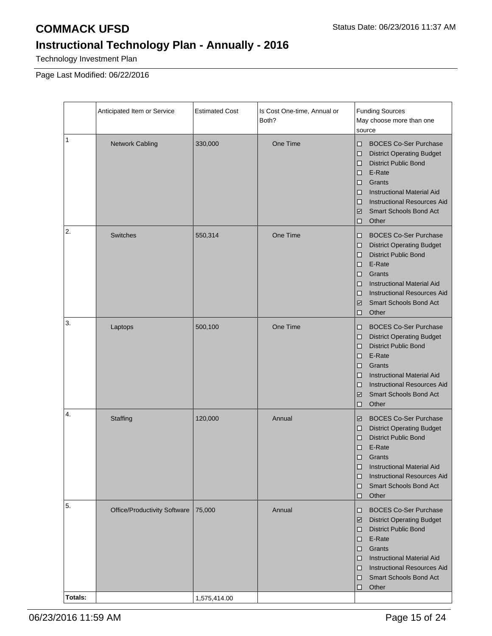Technology Investment Plan

Page Last Modified: 06/22/2016

|         | Anticipated Item or Service         | <b>Estimated Cost</b> | Is Cost One-time, Annual or<br>Both? | <b>Funding Sources</b><br>May choose more than one<br>source                                                                                                                                                                                                                                                                |
|---------|-------------------------------------|-----------------------|--------------------------------------|-----------------------------------------------------------------------------------------------------------------------------------------------------------------------------------------------------------------------------------------------------------------------------------------------------------------------------|
| 1       | <b>Network Cabling</b>              | 330,000               | One Time                             | <b>BOCES Co-Ser Purchase</b><br>□<br><b>District Operating Budget</b><br>$\Box$<br><b>District Public Bond</b><br>□<br>E-Rate<br>□<br>Grants<br>$\Box$<br><b>Instructional Material Aid</b><br>□<br><b>Instructional Resources Aid</b><br>□<br><b>Smart Schools Bond Act</b><br>$\overline{\mathscr{L}}$<br>Other<br>$\Box$ |
| 2.      | <b>Switches</b>                     | 550,314               | One Time                             | <b>BOCES Co-Ser Purchase</b><br>□<br><b>District Operating Budget</b><br>□<br><b>District Public Bond</b><br>□<br>E-Rate<br>□<br>Grants<br>□<br><b>Instructional Material Aid</b><br>□<br><b>Instructional Resources Aid</b><br>□<br><b>Smart Schools Bond Act</b><br>$\overline{\mathscr{L}}$<br>Other<br>$\Box$           |
| 3.      | Laptops                             | 500,100               | One Time                             | <b>BOCES Co-Ser Purchase</b><br>□<br><b>District Operating Budget</b><br>$\Box$<br><b>District Public Bond</b><br>□<br>E-Rate<br>□<br>Grants<br>$\Box$<br><b>Instructional Material Aid</b><br>□<br><b>Instructional Resources Aid</b><br>□<br><b>Smart Schools Bond Act</b><br>$\checkmark$<br>Other<br>□                  |
| 4.      | Staffing                            | 120,000               | Annual                               | <b>BOCES Co-Ser Purchase</b><br>$\checkmark$<br><b>District Operating Budget</b><br>□<br><b>District Public Bond</b><br>□<br>E-Rate<br>$\Box$<br>□<br>Grants<br><b>Instructional Material Aid</b><br>∣□<br><b>Instructional Resources Aid</b><br>□<br><b>Smart Schools Bond Act</b><br>□<br>Other<br>$\Box$                 |
| 5.      | <b>Office/Productivity Software</b> | 75,000                | Annual                               | <b>BOCES Co-Ser Purchase</b><br>□<br><b>District Operating Budget</b><br>$\checkmark$<br><b>District Public Bond</b><br>□<br>E-Rate<br>0<br>Grants<br>O<br><b>Instructional Material Aid</b><br>□<br><b>Instructional Resources Aid</b><br>o<br><b>Smart Schools Bond Act</b><br>o<br>Other<br>$\Box$                       |
| Totals: |                                     | 1,575,414.00          |                                      |                                                                                                                                                                                                                                                                                                                             |

06/23/2016 11:59 AM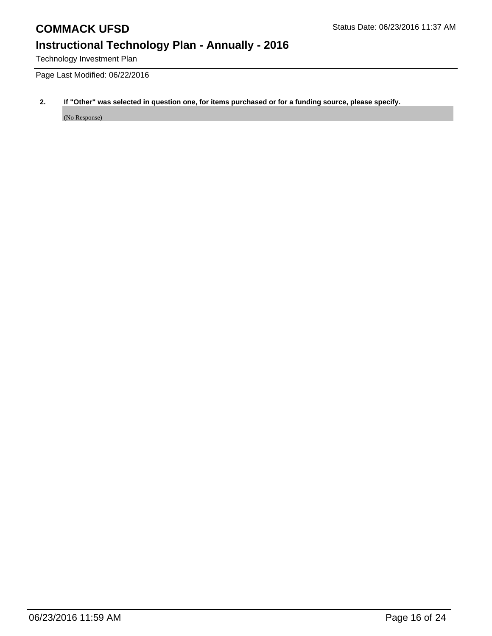# **COMMACK UFSD** Status Date: 06/23/2016 11:37 AM

# **Instructional Technology Plan - Annually - 2016**

Technology Investment Plan

Page Last Modified: 06/22/2016

### **2. If "Other" was selected in question one, for items purchased or for a funding source, please specify.**

(No Response)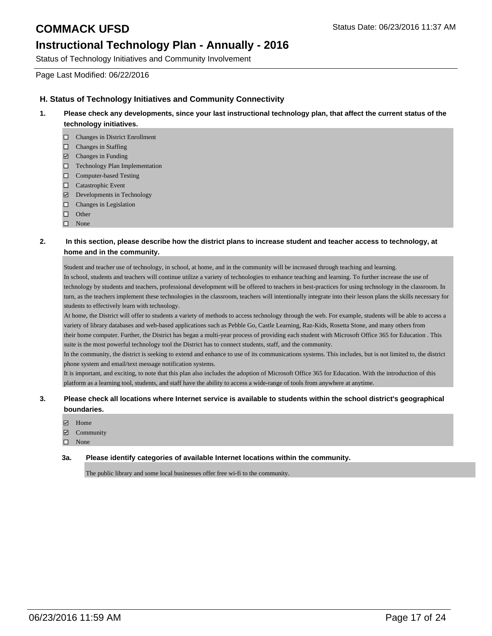Status of Technology Initiatives and Community Involvement

Page Last Modified: 06/22/2016

### **H. Status of Technology Initiatives and Community Connectivity**

- **1. Please check any developments, since your last instructional technology plan, that affect the current status of the technology initiatives.**
	- Changes in District Enrollment
	- $\Box$  Changes in Staffing
	- $\Box$  Changes in Funding
	- Technology Plan Implementation
	- □ Computer-based Testing
	- □ Catastrophic Event
	- Developments in Technology
	- $\Box$  Changes in Legislation
	- $\Box$  Other
	- □ None

### **2. In this section, please describe how the district plans to increase student and teacher access to technology, at home and in the community.**

Student and teacher use of technology, in school, at home, and in the community will be increased through teaching and learning. In school, students and teachers will continue utilize a variety of technologies to enhance teaching and learning. To further increase the use of technology by students and teachers, professional development will be offered to teachers in best-practices for using technology in the classroom. In turn, as the teachers implement these technologies in the classroom, teachers will intentionally integrate into their lesson plans the skills necessary for students to effectively learn with technology.

At home, the District will offer to students a variety of methods to access technology through the web. For example, students will be able to access a variety of library databases and web-based applications such as Pebble Go, Castle Learning, Raz-Kids, Rosetta Stone, and many others from their home computer. Further, the District has began a multi-year process of providing each student with Microsoft Office 365 for Education . This suite is the most powerful technology tool the District has to connect students, staff, and the community.

In the community, the district is seeking to extend and enhance to use of its communications systems. This includes, but is not limited to, the district phone system and email/text message notification systems.

It is important, and exciting, to note that this plan also includes the adoption of Microsoft Office 365 for Education. With the introduction of this platform as a learning tool, students, and staff have the ability to access a wide-range of tools from anywhere at anytime.

### **3. Please check all locations where Internet service is available to students within the school district's geographical boundaries.**

- Home
- **Z** Community
- None

### **3a. Please identify categories of available Internet locations within the community.**

The public library and some local businesses offer free wi-fi to the community.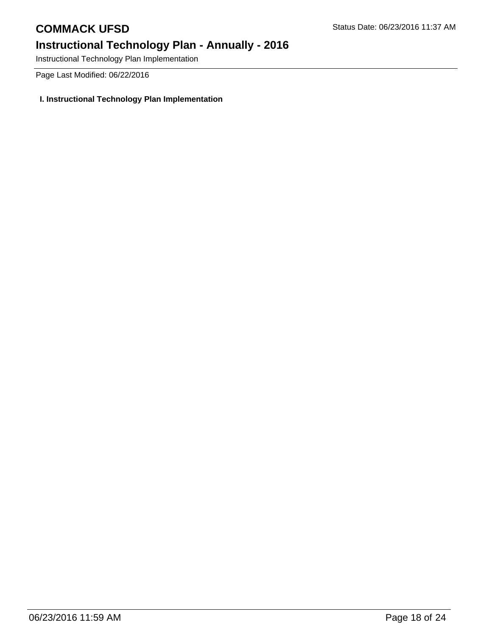Instructional Technology Plan Implementation

Page Last Modified: 06/22/2016

## **I. Instructional Technology Plan Implementation**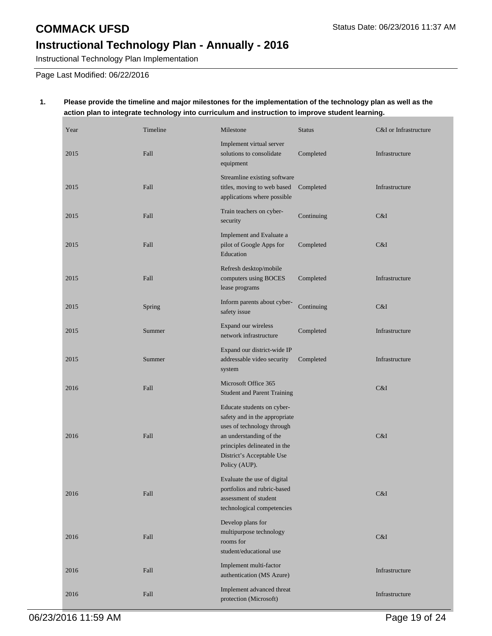Instructional Technology Plan Implementation

Page Last Modified: 06/22/2016

### **1. Please provide the timeline and major milestones for the implementation of the technology plan as well as the action plan to integrate technology into curriculum and instruction to improve student learning.**

| Year | Timeline | Milestone                                                                                                                                                                                          | <b>Status</b> | C&I or Infrastructure |
|------|----------|----------------------------------------------------------------------------------------------------------------------------------------------------------------------------------------------------|---------------|-----------------------|
| 2015 | Fall     | Implement virtual server<br>solutions to consolidate<br>equipment                                                                                                                                  | Completed     | Infrastructure        |
| 2015 | Fall     | Streamline existing software<br>titles, moving to web based<br>applications where possible                                                                                                         | Completed     | Infrastructure        |
| 2015 | Fall     | Train teachers on cyber-<br>security                                                                                                                                                               | Continuing    | C&I                   |
| 2015 | Fall     | Implement and Evaluate a<br>pilot of Google Apps for<br>Education                                                                                                                                  | Completed     | C&I                   |
| 2015 | Fall     | Refresh desktop/mobile<br>computers using BOCES<br>lease programs                                                                                                                                  | Completed     | Infrastructure        |
| 2015 | Spring   | Inform parents about cyber-<br>safety issue                                                                                                                                                        | Continuing    | C&I                   |
| 2015 | Summer   | Expand our wireless<br>network infrastructure                                                                                                                                                      | Completed     | Infrastructure        |
| 2015 | Summer   | Expand our district-wide IP<br>addressable video security<br>system                                                                                                                                | Completed     | Infrastructure        |
| 2016 | Fall     | Microsoft Office 365<br><b>Student and Parent Training</b>                                                                                                                                         |               | C&I                   |
| 2016 | Fall     | Educate students on cyber-<br>safety and in the appropriate<br>uses of technology through<br>an understanding of the<br>principles delineated in the<br>District's Acceptable Use<br>Policy (AUP). |               | C&I                   |
| 2016 | Fall     | Evaluate the use of digital<br>portfolios and rubric-based<br>assessment of student<br>technological competencies                                                                                  |               | C&I                   |
| 2016 | Fall     | Develop plans for<br>multipurpose technology<br>rooms for<br>student/educational use                                                                                                               |               | C&I                   |
| 2016 | Fall     | Implement multi-factor<br>authentication (MS Azure)                                                                                                                                                |               | Infrastructure        |
| 2016 | Fall     | Implement advanced threat<br>protection (Microsoft)                                                                                                                                                |               | Infrastructure        |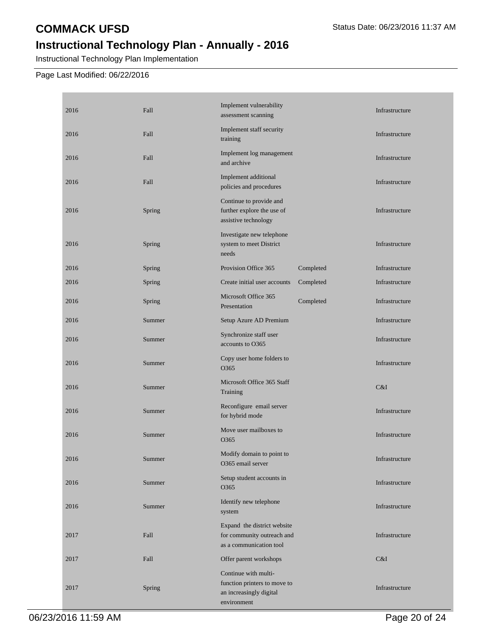## **COMMACK UFSD** Status Date: 06/23/2016 11:37 AM

# **Instructional Technology Plan - Annually - 2016**

Instructional Technology Plan Implementation

### Page Last Modified: 06/22/2016

| 2016 | Fall   | Implement vulnerability<br>assessment scanning                                                 |           | Infrastructure |
|------|--------|------------------------------------------------------------------------------------------------|-----------|----------------|
| 2016 | Fall   | Implement staff security<br>training                                                           |           | Infrastructure |
| 2016 | Fall   | Implement log management<br>and archive                                                        |           | Infrastructure |
| 2016 | Fall   | Implement additional<br>policies and procedures                                                |           | Infrastructure |
| 2016 | Spring | Continue to provide and<br>further explore the use of<br>assistive technology                  |           | Infrastructure |
| 2016 | Spring | Investigate new telephone<br>system to meet District<br>needs                                  |           | Infrastructure |
| 2016 | Spring | Provision Office 365                                                                           | Completed | Infrastructure |
| 2016 | Spring | Create initial user accounts                                                                   | Completed | Infrastructure |
| 2016 | Spring | Microsoft Office 365<br>Presentation                                                           | Completed | Infrastructure |
| 2016 | Summer | Setup Azure AD Premium                                                                         |           | Infrastructure |
| 2016 | Summer | Synchronize staff user<br>accounts to O365                                                     |           | Infrastructure |
| 2016 | Summer | Copy user home folders to<br>O365                                                              |           | Infrastructure |
| 2016 | Summer | Microsoft Office 365 Staff<br>Training                                                         |           | C&I            |
| 2016 | Summer | Reconfigure email server<br>for hybrid mode                                                    |           | Infrastructure |
| 2016 | Summer | Move user mailboxes to<br>O365                                                                 |           | Infrastructure |
| 2016 | Summer | Modify domain to point to<br>O365 email server                                                 |           | Infrastructure |
| 2016 | Summer | Setup student accounts in<br>O365                                                              |           | Infrastructure |
| 2016 | Summer | Identify new telephone<br>system                                                               |           | Infrastructure |
| 2017 | Fall   | Expand the district website<br>for community outreach and<br>as a communication tool           |           | Infrastructure |
| 2017 | Fall   | Offer parent workshops                                                                         |           | C&I            |
| 2017 | Spring | Continue with multi-<br>function printers to move to<br>an increasingly digital<br>environment |           | Infrastructure |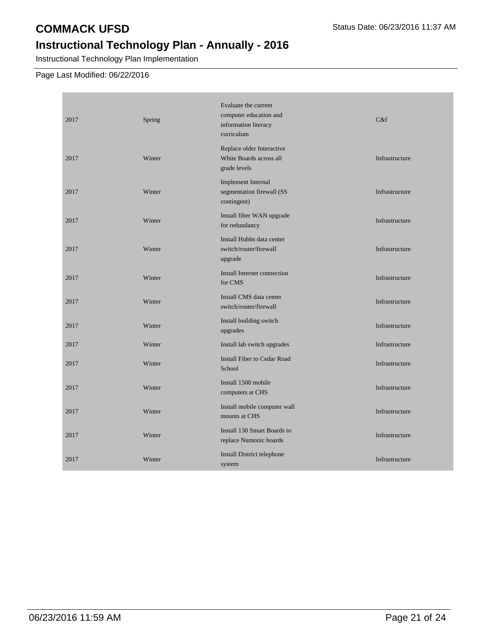## **COMMACK UFSD** Status Date: 06/23/2016 11:37 AM

# **Instructional Technology Plan - Annually - 2016**

Instructional Technology Plan Implementation

## Page Last Modified: 06/22/2016

| 2017 | Spring | Evaluate the current<br>computer education and<br>information literacy<br>curriculum | C&I            |
|------|--------|--------------------------------------------------------------------------------------|----------------|
| 2017 | Winter | Replace older Interactive<br>White Boards across all<br>grade levels                 | Infrastructure |
| 2017 | Winter | <b>Implement Internal</b><br>segmentation firewall (SS<br>contingent)                | Infrastructure |
| 2017 | Winter | Install fiber WAN upgrade<br>for redundancy                                          | Infrastructure |
| 2017 | Winter | Install Hubbs data center<br>switch/router/firewall<br>upgrade                       | Infrastructure |
| 2017 | Winter | Install Internet connection<br>for CMS                                               | Infrastructure |
| 2017 | Winter | Install CMS data center<br>switch/router/firewall                                    | Infrastructure |
| 2017 | Winter | Install building switch<br>upgrades                                                  | Infrastructure |
| 2017 | Winter | Install lab switch upgrades                                                          | Infrastructure |
| 2017 | Winter | <b>Install Fiber to Cedar Road</b><br>School                                         | Infrastructure |
| 2017 | Winter | Install 1500 mobile<br>computers at CHS                                              | Infrastructure |
| 2017 | Winter | Install mobile computer wall<br>mounts at CHS                                        | Infrastructure |
| 2017 | Winter | Install 130 Smart Boards to<br>replace Numonic boards                                | Infrastructure |
| 2017 | Winter | Install District telephone<br>system                                                 | Infrastructure |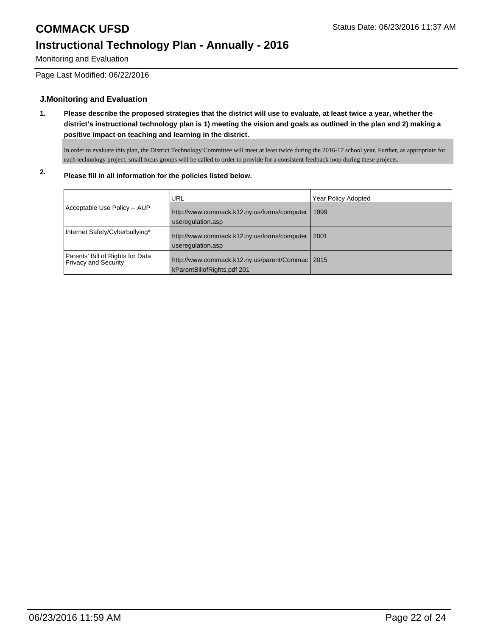### Monitoring and Evaluation

Page Last Modified: 06/22/2016

### **J.Monitoring and Evaluation**

**1. Please describe the proposed strategies that the district will use to evaluate, at least twice a year, whether the district's instructional technology plan is 1) meeting the vision and goals as outlined in the plan and 2) making a positive impact on teaching and learning in the district.**

In order to evaluate this plan, the District Technology Committee will meet at least twice during the 2016-17 school year. Further, as appropriate for each technology project, small focus groups will be called to order to provide for a consistent feedback loop during these projects.

## **2. Please fill in all information for the policies listed below.**

|                                                          | <b>URL</b>                                                                     | <b>Year Policy Adopted</b> |
|----------------------------------------------------------|--------------------------------------------------------------------------------|----------------------------|
| Acceptable Use Policy -- AUP                             | http://www.commack.k12.ny.us/forms/computer                                    | 1999                       |
|                                                          | useregulation.asp                                                              |                            |
| Internet Safety/Cyberbullying*                           | http://www.commack.k12.ny.us/forms/computer<br>useregulation.asp               | 2001                       |
| Parents' Bill of Rights for Data<br>Privacy and Security | http://www.commack.k12.ny.us/parent/Commac 2015<br>kParentBillofRights.pdf 201 |                            |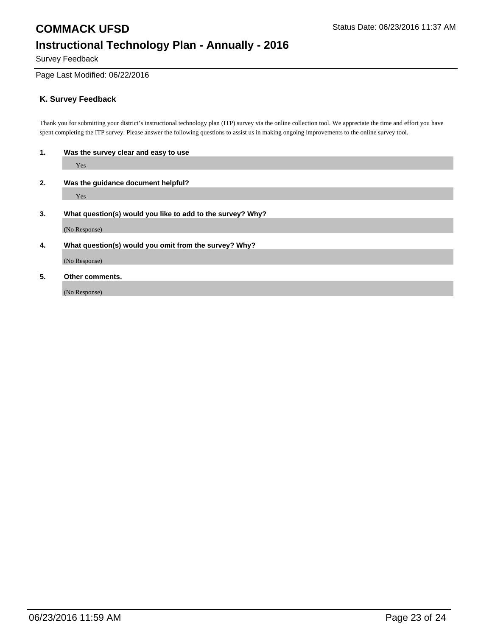# **COMMACK UFSD** Status Date: 06/23/2016 11:37 AM **Instructional Technology Plan - Annually - 2016**

Survey Feedback

### Page Last Modified: 06/22/2016

### **K. Survey Feedback**

Thank you for submitting your district's instructional technology plan (ITP) survey via the online collection tool. We appreciate the time and effort you have spent completing the ITP survey. Please answer the following questions to assist us in making ongoing improvements to the online survey tool.

| 1. | Was the survey clear and easy to use                       |  |  |  |
|----|------------------------------------------------------------|--|--|--|
|    | Yes                                                        |  |  |  |
| 2. | Was the guidance document helpful?                         |  |  |  |
|    | Yes                                                        |  |  |  |
| 3. | What question(s) would you like to add to the survey? Why? |  |  |  |
|    | (No Response)                                              |  |  |  |
| 4. | What question(s) would you omit from the survey? Why?      |  |  |  |
|    | (No Response)                                              |  |  |  |
| 5. | Other comments.                                            |  |  |  |
|    | (No Response)                                              |  |  |  |
|    |                                                            |  |  |  |